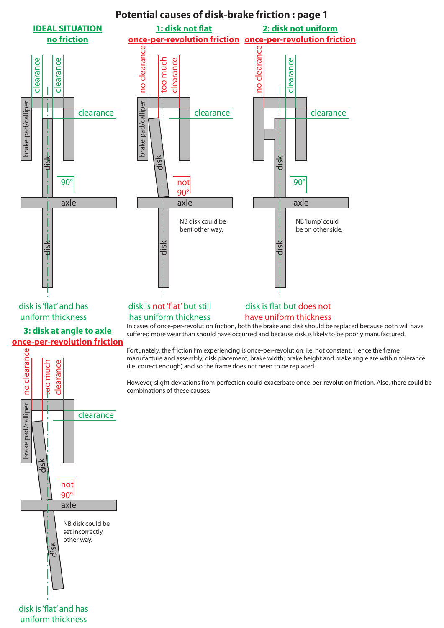

disk is 'flat' and has uniform thickness